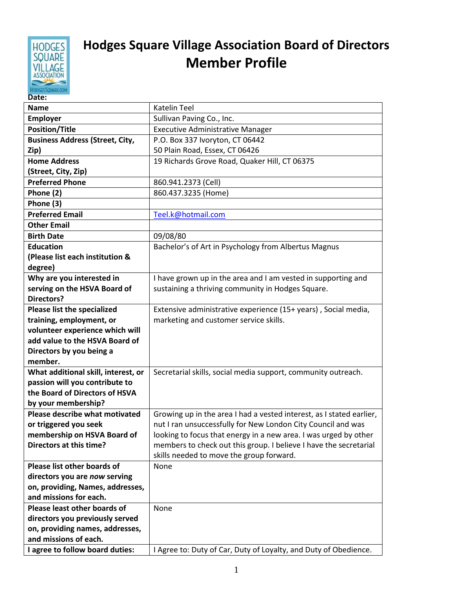

## **Hodges Square Village Association Board of Directors Member Profile**

| Date:                                                    |                                                                      |
|----------------------------------------------------------|----------------------------------------------------------------------|
| <b>Name</b>                                              | <b>Katelin Teel</b>                                                  |
| <b>Employer</b>                                          | Sullivan Paving Co., Inc.                                            |
| <b>Position/Title</b>                                    | <b>Executive Administrative Manager</b>                              |
| <b>Business Address (Street, City,</b>                   | P.O. Box 337 Ivoryton, CT 06442                                      |
| Zip)                                                     | 50 Plain Road, Essex, CT 06426                                       |
| <b>Home Address</b>                                      | 19 Richards Grove Road, Quaker Hill, CT 06375                        |
| (Street, City, Zip)                                      |                                                                      |
| <b>Preferred Phone</b>                                   | 860.941.2373 (Cell)                                                  |
| Phone (2)                                                | 860.437.3235 (Home)                                                  |
| Phone (3)                                                |                                                                      |
| <b>Preferred Email</b>                                   | Teel.k@hotmail.com                                                   |
| <b>Other Email</b>                                       |                                                                      |
| <b>Birth Date</b>                                        | 09/08/80                                                             |
| <b>Education</b>                                         | Bachelor's of Art in Psychology from Albertus Magnus                 |
| (Please list each institution &                          |                                                                      |
| degree)                                                  |                                                                      |
| Why are you interested in                                | I have grown up in the area and I am vested in supporting and        |
| serving on the HSVA Board of                             | sustaining a thriving community in Hodges Square.                    |
| <b>Directors?</b>                                        |                                                                      |
| Please list the specialized                              | Extensive administrative experience (15+ years), Social media,       |
| training, employment, or                                 | marketing and customer service skills.                               |
| volunteer experience which will                          |                                                                      |
| add value to the HSVA Board of                           |                                                                      |
| Directors by you being a                                 |                                                                      |
| member.                                                  |                                                                      |
| What additional skill, interest, or                      | Secretarial skills, social media support, community outreach.        |
| passion will you contribute to                           |                                                                      |
| the Board of Directors of HSVA                           |                                                                      |
| by your membership?                                      |                                                                      |
| Please describe what motivated                           | Growing up in the area I had a vested interest, as I stated earlier, |
| or triggered you seek                                    | nut I ran unsuccessfully for New London City Council and was         |
| membership on HSVA Board of                              | looking to focus that energy in a new area. I was urged by other     |
| Directors at this time?                                  | members to check out this group. I believe I have the secretarial    |
|                                                          | skills needed to move the group forward.                             |
| Please list other boards of                              | None                                                                 |
| directors you are now serving                            |                                                                      |
| on, providing, Names, addresses,                         |                                                                      |
| and missions for each.                                   |                                                                      |
| Please least other boards of                             | None                                                                 |
| directors you previously served                          |                                                                      |
| on, providing names, addresses,<br>and missions of each. |                                                                      |
|                                                          |                                                                      |
| I agree to follow board duties:                          | I Agree to: Duty of Car, Duty of Loyalty, and Duty of Obedience.     |